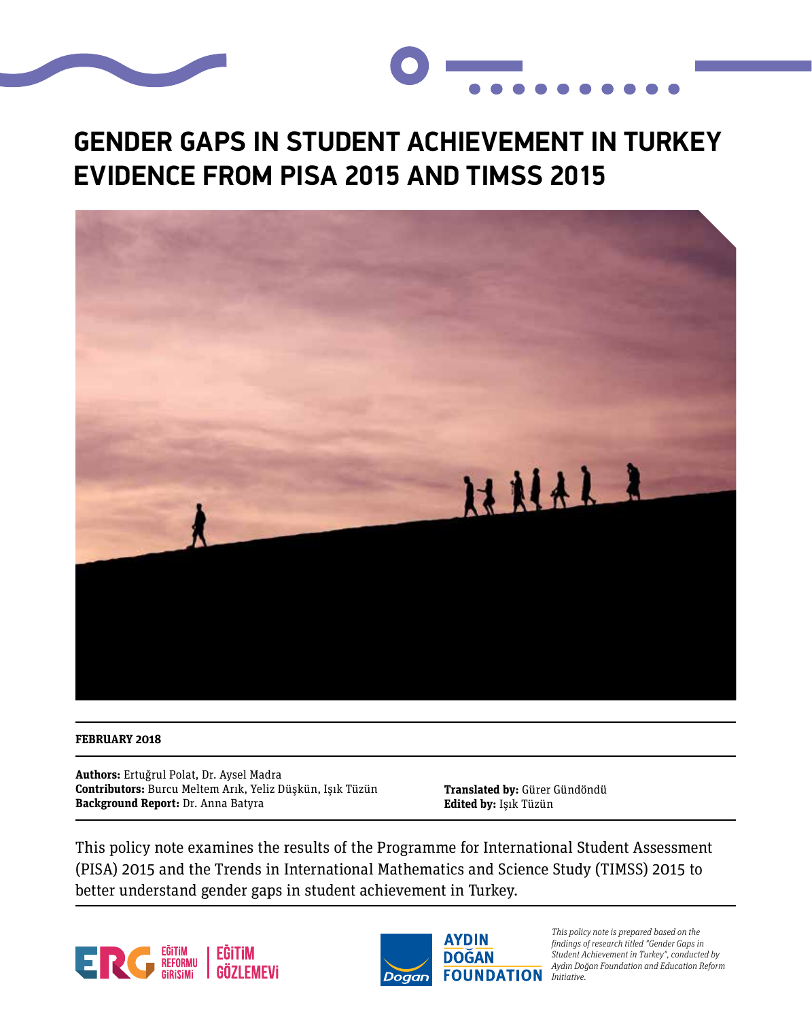



## **GENDER GAPS IN STUDENT ACHIEVEMENT IN TURKEY EVIDENCE FROM PISA 2015 AND TIMSS 2015**



#### **FEBRUARY 2018**

**Authors:** Ertuğrul Polat, Dr. Aysel Madra **Contributors:** Burcu Meltem Arık, Yeliz Düşkün, Işık Tüzün **Background Report:** Dr. Anna Batyra

**Translated by:** Gürer Gündöndü **Edited by:** Işık Tüzün

This policy note examines the results of the Programme for International Student Assessment (PISA) 2015 and the Trends in International Mathematics and Science Study (TIMSS) 2015 to better understand gender gaps in student achievement in Turkey.





This policy note is prepared based on the findings of research titled "Gender Gaps in Student Achievement in Turkey", conducted by Aydın Doğan Foundation and Education Reform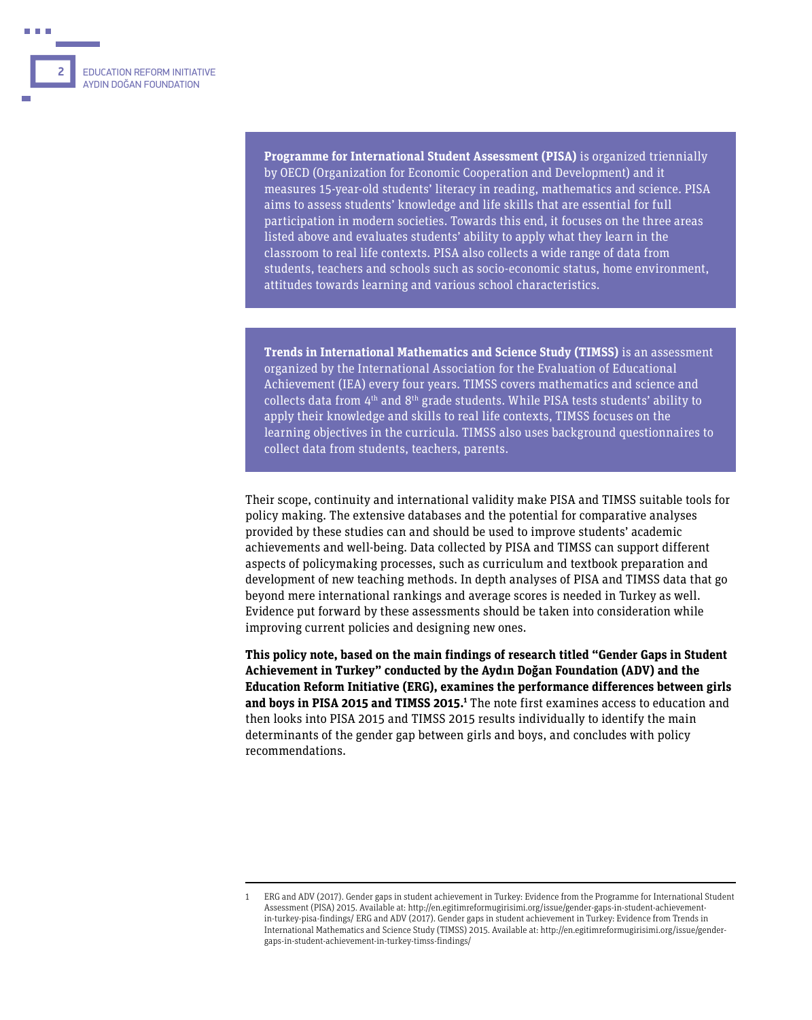**Programme for International Student Assessment (PISA)** is organized triennially by OECD (Organization for Economic Cooperation and Development) and it measures 15-year-old students' literacy in reading, mathematics and science. PISA aims to assess students' knowledge and life skills that are essential for full participation in modern societies. Towards this end, it focuses on the three areas listed above and evaluates students' ability to apply what they learn in the classroom to real life contexts. PISA also collects a wide range of data from students, teachers and schools such as socio-economic status, home environment, attitudes towards learning and various school characteristics.

**Trends in International Mathematics and Science Study (TIMSS)** is an assessment organized by the International Association for the Evaluation of Educational Achievement (IEA) every four years. TIMSS covers mathematics and science and collects data from 4th and 8th grade students. While PISA tests students' ability to apply their knowledge and skills to real life contexts, TIMSS focuses on the learning objectives in the curricula. TIMSS also uses background questionnaires to collect data from students, teachers, parents.

Their scope, continuity and international validity make PISA and TIMSS suitable tools for policy making. The extensive databases and the potential for comparative analyses provided by these studies can and should be used to improve students' academic achievements and well-being. Data collected by PISA and TIMSS can support different aspects of policymaking processes, such as curriculum and textbook preparation and development of new teaching methods. In depth analyses of PISA and TIMSS data that go beyond mere international rankings and average scores is needed in Turkey as well. Evidence put forward by these assessments should be taken into consideration while improving current policies and designing new ones.

**This policy note, based on the main findings of research titled "Gender Gaps in Student Achievement in Turkey" conducted by the Aydın Doğan Foundation (ADV) and the Education Reform Initiative (ERG), examines the performance differences between girls and boys in PISA 2015 and TIMSS 2015.1** The note first examines access to education and then looks into PISA 2015 and TIMSS 2015 results individually to identify the main determinants of the gender gap between girls and boys, and concludes with policy recommendations.

<sup>1</sup> ERG and ADV (2017). Gender gaps in student achievement in Turkey: Evidence from the Programme for International Student Assessment (PISA) 2015. Available at: http://en.egitimreformugirisimi.org/issue/gender-gaps-in-student-achievementin-turkey-pisa-findings/ ERG and ADV (2017). Gender gaps in student achievement in Turkey: Evidence from Trends in International Mathematics and Science Study (TIMSS) 2015. Available at: http://en.egitimreformugirisimi.org/issue/gendergaps-in-student-achievement-in-turkey-timss-findings/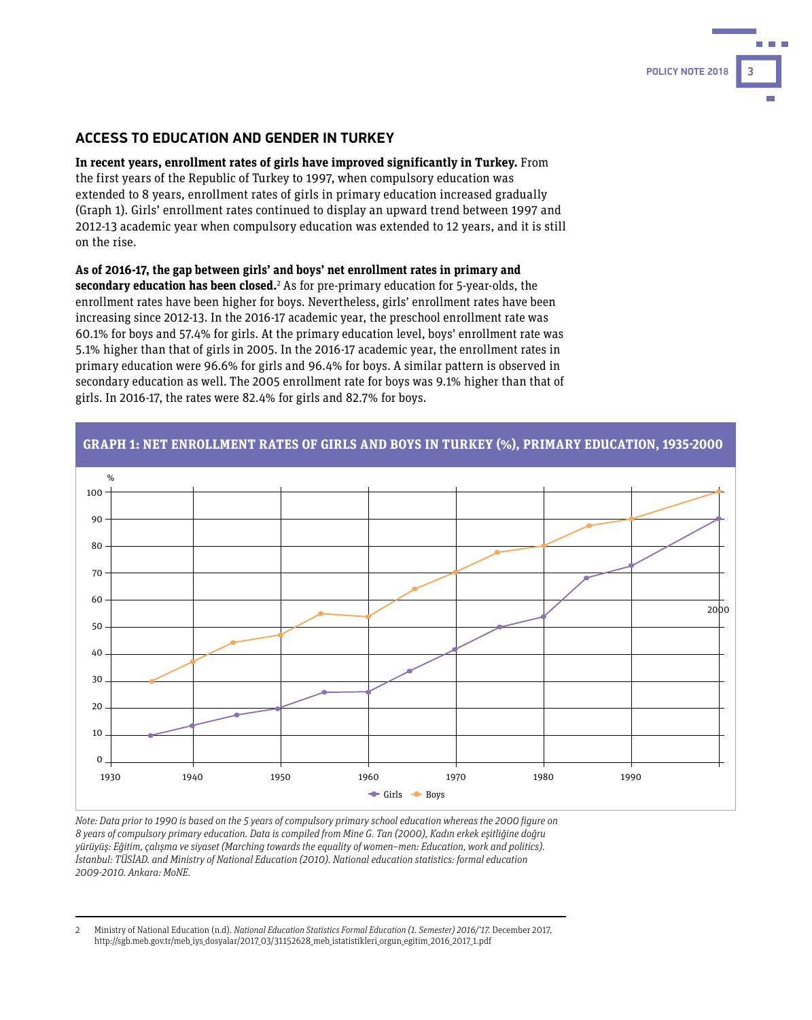#### **ACCESS TO EDUCATION AND GENDER IN TURKEY**

**In recent years, enrollment rates of girls have improved significantly in Turkey.** From the first years of the Republic of Turkey to 1997, when compulsory education was extended to 8 years, enrollment rates of girls in primary education increased gradually (Graph 1). Girls' enrollment rates continued to display an upward trend between 1997 and 2012-13 academic year when compulsory education was extended to 12 years, and it is still on the rise.

**POLICY NOTE 2018 3**

**As of 2016-17, the gap between girls' and boys' net enrollment rates in primary and secondary education has been closed.**<sup>2</sup> As for pre-primary education for 5-year-olds, the enrollment rates have been higher for boys. Nevertheless, girls' enrollment rates have been increasing since 2012-13. In the 2016-17 academic year, the preschool enrollment rate was 60.1% for boys and 57.4% for girls. At the primary education level, boys' enrollment rate was 5.1% higher than that of girls in 2005. In the 2016-17 academic year, the enrollment rates in primary education were 96.6% for girls and 96.4% for boys. A similar pattern is observed in secondary education as well. The 2005 enrollment rate for boys was 9.1% higher than that of girls. In 2016-17, the rates were 82.4% for girls and 82.7% for boys.



Note: Data prior to 1990 is based on the 5 years of compulsory primary school education whereas the 2000 figure on 8 years of compulsory primary education. Data is compiled from Mine G. Tan (2000), Kadın erkek eşitliğine doğru yürüyüş: Eğitim, çalışma ve siyaset (Marching towards the equality of women–men: Education, work and politics). İstanbul: TÜSİAD. and Ministry of National Education (2010). National education statistics: formal education 2009-2010. Ankara: MoNE.

2 Ministry of National Education (n.d). National Education Statistics Formal Education (1. Semester) 2016/'17. December 2017, http://sgb.meb.gov.tr/meb\_iys\_dosyalar/2017\_03/31152628\_meb\_istatistikleri\_orgun\_egitim\_2016\_2017\_1.pdf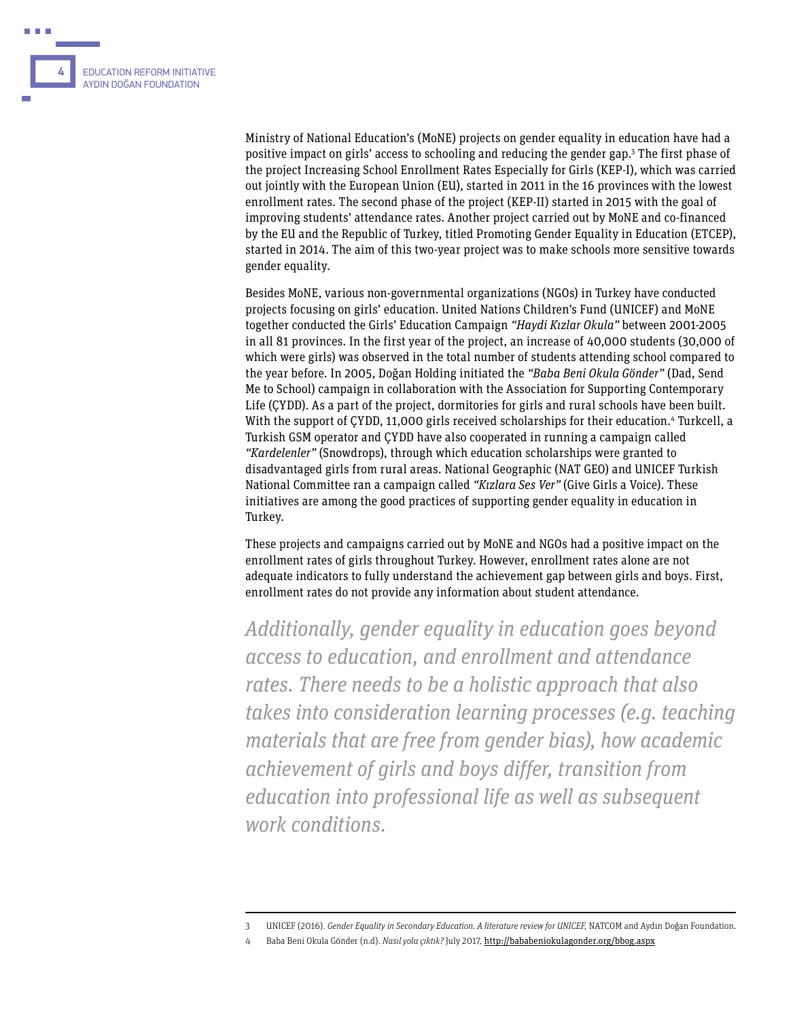

Ministry of National Education's (MoNE) projects on gender equality in education have had a positive impact on girls' access to schooling and reducing the gender gap.<sup>3</sup> The first phase of the project Increasing School Enrollment Rates Especially for Girls (KEP-I), which was carried out jointly with the European Union (EU), started in 2011 in the 16 provinces with the lowest enrollment rates. The second phase of the project (KEP-II) started in 2015 with the goal of improving students' attendance rates. Another project carried out by MoNE and co-financed by the EU and the Republic of Turkey, titled Promoting Gender Equality in Education (ETCEP), started in 2014. The aim of this two-year project was to make schools more sensitive towards gender equality.

Besides MoNE, various non-governmental organizations (NGOs) in Turkey have conducted projects focusing on girls' education. United Nations Children's Fund (UNICEF) and MoNE together conducted the Girls' Education Campaign "Haydi Kızlar Okula" between 2001-2005 in all 81 provinces. In the first year of the project, an increase of 40,000 students (30,000 of which were girls) was observed in the total number of students attending school compared to the year before. In 2005, Doğan Holding initiated the "Baba Beni Okula Gönder" (Dad, Send Me to School) campaign in collaboration with the Association for Supporting Contemporary Life (ÇYDD). As a part of the project, dormitories for girls and rural schools have been built. With the support of ÇYDD, 11,000 girls received scholarships for their education.<sup>4</sup> Turkcell, a Turkish GSM operator and ÇYDD have also cooperated in running a campaign called "Kardelenler" (Snowdrops), through which education scholarships were granted to disadvantaged girls from rural areas. National Geographic (NAT GEO) and UNICEF Turkish National Committee ran a campaign called "Kızlara Ses Ver" (Give Girls a Voice). These initiatives are among the good practices of supporting gender equality in education in Turkey.

These projects and campaigns carried out by MoNE and NGOs had a positive impact on the enrollment rates of girls throughout Turkey. However, enrollment rates alone are not adequate indicators to fully understand the achievement gap between girls and boys. First, enrollment rates do not provide any information about student attendance.

Additionally, gender equality in education goes beyond access to education, and enrollment and attendance rates. There needs to be a holistic approach that also takes into consideration learning processes (e.g. teaching materials that are free from gender bias), how academic achievement of girls and boys differ, transition from education into professional life as well as subsequent work conditions.

<sup>3</sup> UNICEF (2016). Gender Equality in Secondary Education. A literature review for UNICEF, NATCOM and Aydın Doğan Foundation.

<sup>4</sup> Baba Beni Okula Gönder (n.d). Nasıl yola çıktık? July 2017, http://bababeniokulagonder.org/bbog.aspx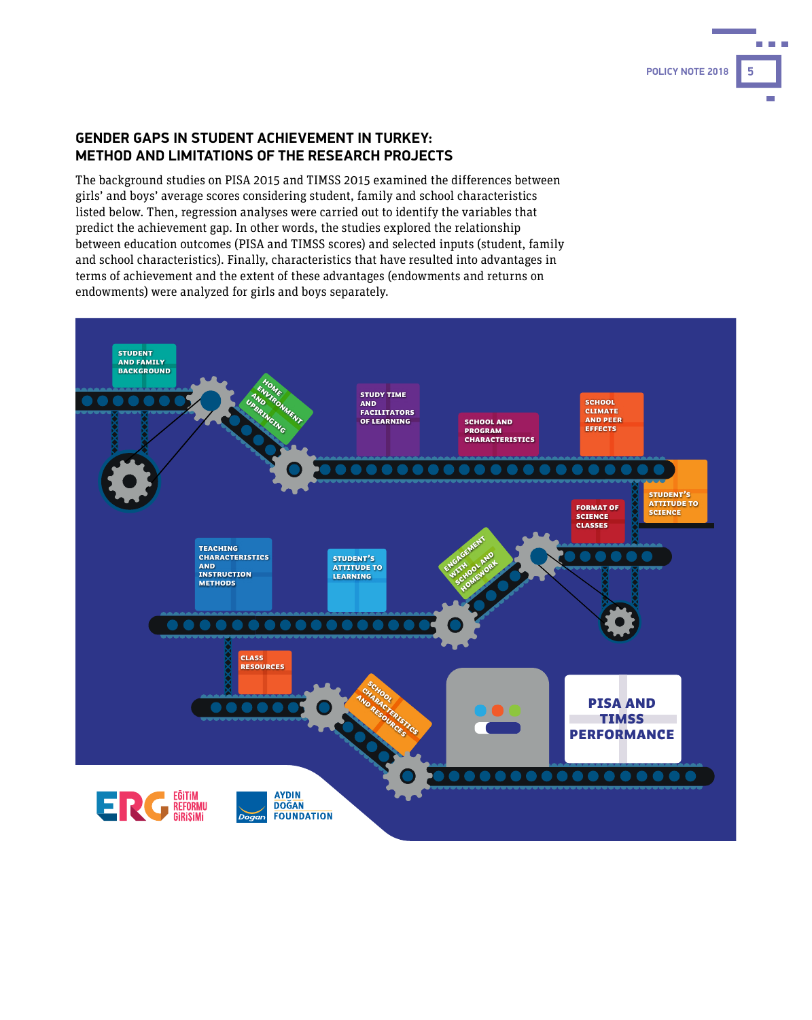#### **GENDER GAPS IN STUDENT ACHIEVEMENT IN TURKEY: METHOD AND LIMITATIONS OF THE RESEARCH PROJECTS**

The background studies on PISA 2015 and TIMSS 2015 examined the differences between girls' and boys' average scores considering student, family and school characteristics listed below. Then, regression analyses were carried out to identify the variables that predict the achievement gap. In other words, the studies explored the relationship between education outcomes (PISA and TIMSS scores) and selected inputs (student, family and school characteristics). Finally, characteristics that have resulted into advantages in terms of achievement and the extent of these advantages (endowments and returns on endowments) were analyzed for girls and boys separately.



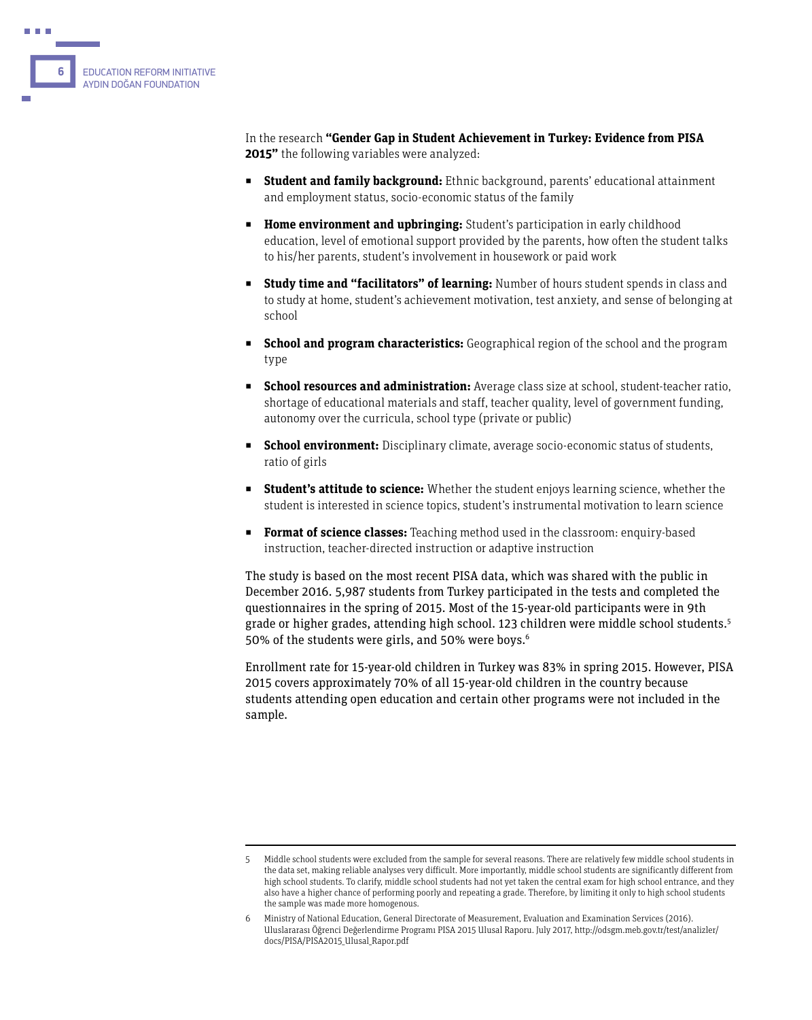

In the research **"Gender Gap in Student Achievement in Turkey: Evidence from PISA 2015"** the following variables were analyzed:

- **Student and family background:** Ethnic background, parents' educational attainment and employment status, socio-economic status of the family
- **Home environment and upbringing:** Student's participation in early childhood education, level of emotional support provided by the parents, how often the student talks to his/her parents, student's involvement in housework or paid work
- **Example 1 Study time and "facilitators" of learning:** Number of hours student spends in class and to study at home, student's achievement motivation, test anxiety, and sense of belonging at school
- **School and program characteristics:** Geographical region of the school and the program type
- **school resources and administration:** Average class size at school, student-teacher ratio, shortage of educational materials and staff, teacher quality, level of government funding, autonomy over the curricula, school type (private or public)
- **Example 20 and <b>School environment:** Disciplinary climate, average socio-economic status of students, ratio of girls
- **Student's attitude to science:** Whether the student enjoys learning science, whether the student is interested in science topics, student's instrumental motivation to learn science
- **Format of science classes:** Teaching method used in the classroom: enquiry-based instruction, teacher-directed instruction or adaptive instruction

The study is based on the most recent PISA data, which was shared with the public in December 2016. 5,987 students from Turkey participated in the tests and completed the questionnaires in the spring of 2015. Most of the 15-year-old participants were in 9th grade or higher grades, attending high school. 123 children were middle school students.5 50% of the students were girls, and 50% were boys.<sup>6</sup>

Enrollment rate for 15-year-old children in Turkey was 83% in spring 2015. However, PISA 2015 covers approximately 70% of all 15-year-old children in the country because students attending open education and certain other programs were not included in the sample.

<sup>5</sup> Middle school students were excluded from the sample for several reasons. There are relatively few middle school students in the data set, making reliable analyses very difficult. More importantly, middle school students are significantly different from high school students. To clarify, middle school students had not yet taken the central exam for high school entrance, and they also have a higher chance of performing poorly and repeating a grade. Therefore, by limiting it only to high school students the sample was made more homogenous.

<sup>6</sup> Ministry of National Education, General Directorate of Measurement, Evaluation and Examination Services (2016). Uluslararası Öğrenci Değerlendirme Programı PISA 2015 Ulusal Raporu. July 2017, http://odsgm.meb.gov.tr/test/analizler/ docs/PISA/PISA2015\_Ulusal\_Rapor.pdf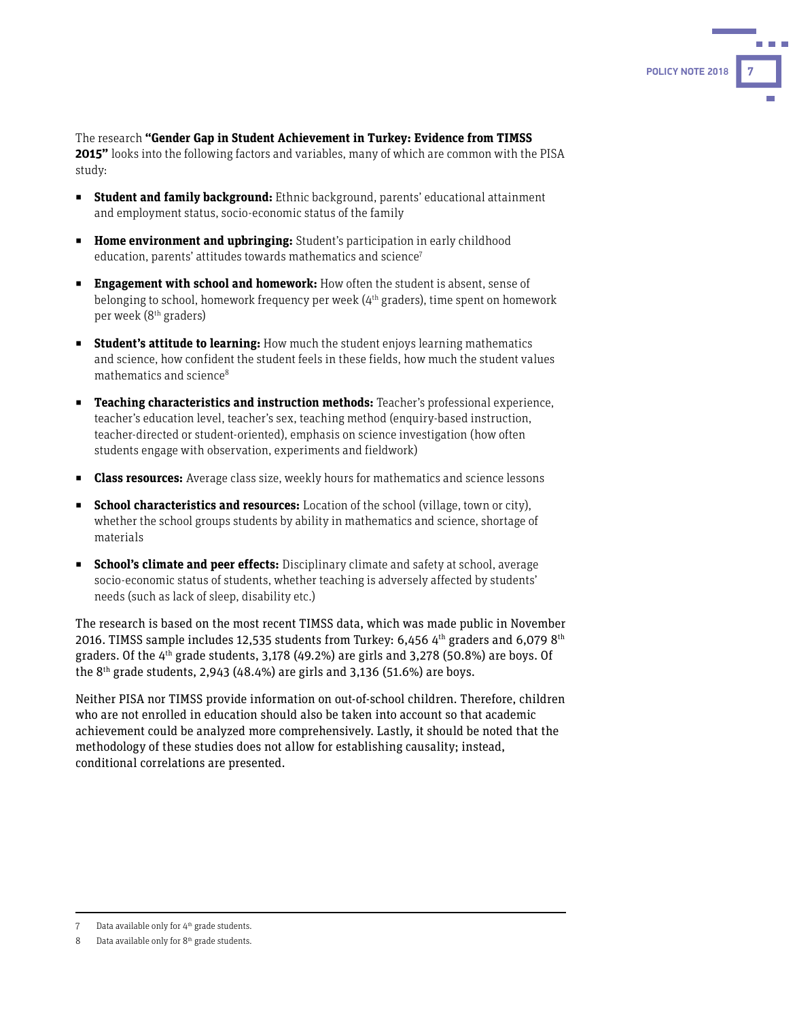

The research **"Gender Gap in Student Achievement in Turkey: Evidence from TIMSS 2015"** looks into the following factors and variables, many of which are common with the PISA study:

- **Example 1 Student and family background:** Ethnic background, parents' educational attainment and employment status, socio-economic status of the family
- **Home environment and upbringing:** Student's participation in early childhood education, parents' attitudes towards mathematics and science<sup>7</sup>
- **Engagement with school and homework:** How often the student is absent, sense of belonging to school, homework frequency per week (4<sup>th</sup> graders), time spent on homework per week (8th graders)
- **Student's attitude to learning:** How much the student enjoys learning mathematics and science, how confident the student feels in these fields, how much the student values mathematics and science<sup>8</sup>
- ◼ **Teaching characteristics and instruction methods:** Teacher's professional experience, teacher's education level, teacher's sex, teaching method (enquiry-based instruction, teacher-directed or student-oriented), emphasis on science investigation (how often students engage with observation, experiments and fieldwork)
- **Example 3 Class resources:** Average class size, weekly hours for mathematics and science lessons
- **Example 2 School characteristics and resources:** Location of the school (village, town or city), whether the school groups students by ability in mathematics and science, shortage of materials
- **School's climate and peer effects:** Disciplinary climate and safety at school, average socio-economic status of students, whether teaching is adversely affected by students' needs (such as lack of sleep, disability etc.)

The research is based on the most recent TIMSS data, which was made public in November 2016. TIMSS sample includes 12,535 students from Turkey: 6,456 4<sup>th</sup> graders and 6,079 8<sup>th</sup> graders. Of the  $4<sup>th</sup>$  grade students, 3,178 (49.2%) are girls and 3,278 (50.8%) are boys. Of the  $8<sup>th</sup>$  grade students, 2,943 (48.4%) are girls and 3,136 (51.6%) are boys.

Neither PISA nor TIMSS provide information on out-of-school children. Therefore, children who are not enrolled in education should also be taken into account so that academic achievement could be analyzed more comprehensively. Lastly, it should be noted that the methodology of these studies does not allow for establishing causality; instead, conditional correlations are presented.

<sup>7</sup> Data available only for  $4<sup>th</sup>$  grade students.

<sup>8</sup> Data available only for 8<sup>th</sup> grade students.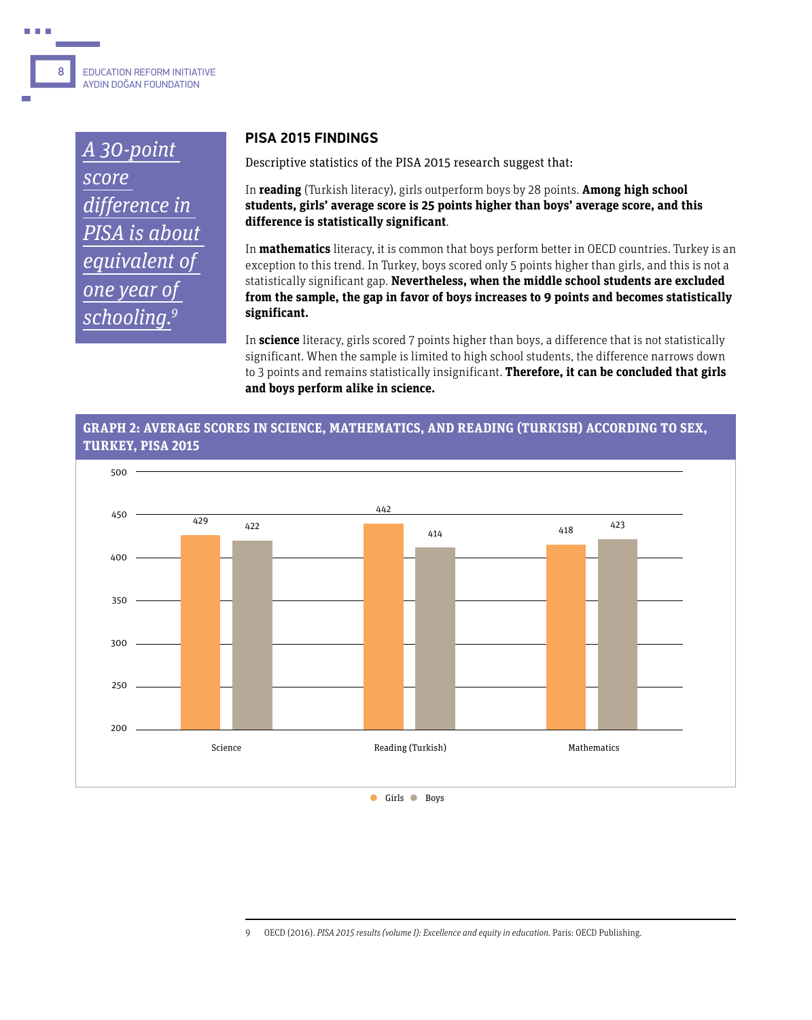### EDUCATION REFORM INITIATIVE AYDIN DOĞAN FOUNDATION **8**

A 30-point score difference in PISA is about equivalent of one year of schooling.<sup>9</sup>

#### **PISA 2015 FINDINGS**

Descriptive statistics of the PISA 2015 research suggest that:

In **reading** (Turkish literacy), girls outperform boys by 28 points. **Among high school students, girls' average score is 25 points higher than boys' average score, and this difference is statistically significant**.

In **mathematics** literacy, it is common that boys perform better in OECD countries. Turkey is an exception to this trend. In Turkey, boys scored only 5 points higher than girls, and this is not a statistically significant gap. **Nevertheless, when the middle school students are excluded from the sample, the gap in favor of boys increases to 9 points and becomes statistically significant.**

In **science** literacy, girls scored 7 points higher than boys, a difference that is not statistically significant. When the sample is limited to high school students, the difference narrows down to 3 points and remains statistically insignificant. **Therefore, it can be concluded that girls and boys perform alike in science.** 

#### **GRAPH 2: AVERAGE SCORES IN SCIENCE, MATHEMATICS, AND READING (TURKISH) ACCORDING TO SEX, TURKEY, PISA 2015**



<sup>9</sup> OECD (2016). PISA 2015 results (volume I): Excellence and equity in education. Paris: OECD Publishing.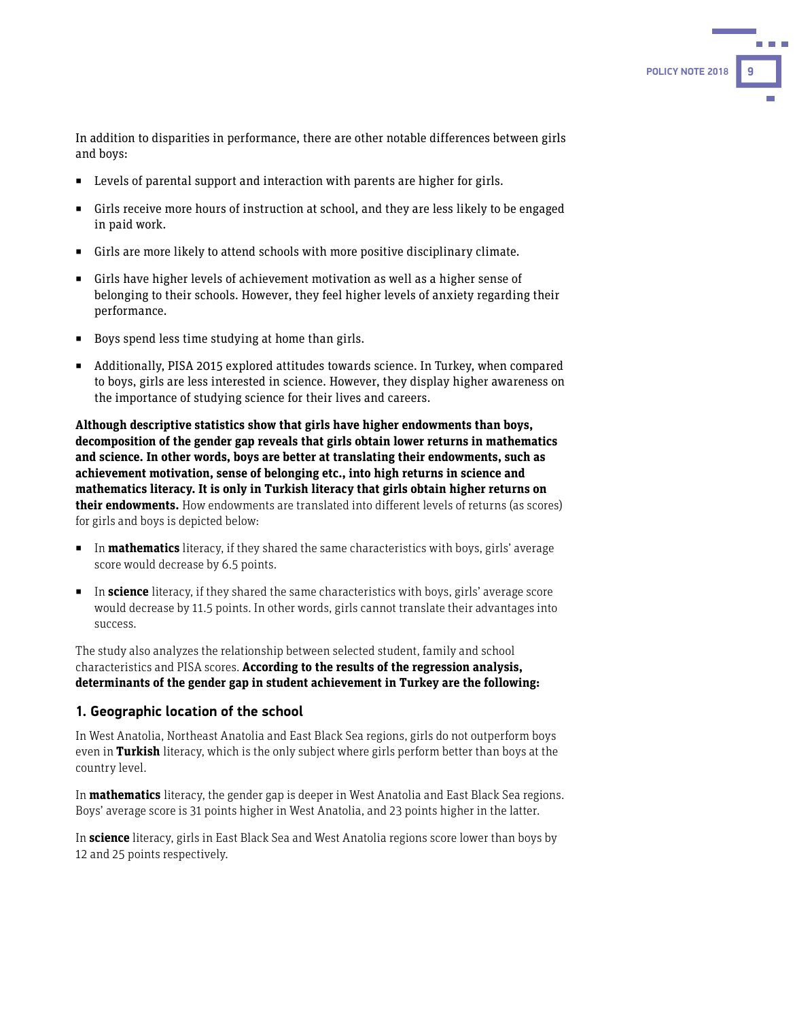In addition to disparities in performance, there are other notable differences between girls and boys:

- Levels of parental support and interaction with parents are higher for girls.
- Girls receive more hours of instruction at school, and they are less likely to be engaged in paid work.
- Girls are more likely to attend schools with more positive disciplinary climate.
- Girls have higher levels of achievement motivation as well as a higher sense of belonging to their schools. However, they feel higher levels of anxiety regarding their performance.
- Boys spend less time studying at home than girls.
- Additionally, PISA 2015 explored attitudes towards science. In Turkey, when compared to boys, girls are less interested in science. However, they display higher awareness on the importance of studying science for their lives and careers.

**Although descriptive statistics show that girls have higher endowments than boys, decomposition of the gender gap reveals that girls obtain lower returns in mathematics and science. In other words, boys are better at translating their endowments, such as achievement motivation, sense of belonging etc., into high returns in science and mathematics literacy. It is only in Turkish literacy that girls obtain higher returns on their endowments.** How endowments are translated into different levels of returns (as scores) for girls and boys is depicted below:

- In **mathematics** literacy, if they shared the same characteristics with boys, girls' average score would decrease by 6.5 points.
- In **science** literacy, if they shared the same characteristics with boys, girls' average score would decrease by 11.5 points. In other words, girls cannot translate their advantages into success.

The study also analyzes the relationship between selected student, family and school characteristics and PISA scores. **According to the results of the regression analysis, determinants of the gender gap in student achievement in Turkey are the following:** 

#### **1. Geographic location of the school**

In West Anatolia, Northeast Anatolia and East Black Sea regions, girls do not outperform boys even in **Turkish** literacy, which is the only subject where girls perform better than boys at the country level.

In **mathematics** literacy, the gender gap is deeper in West Anatolia and East Black Sea regions. Boys' average score is 31 points higher in West Anatolia, and 23 points higher in the latter.

In **science** literacy, girls in East Black Sea and West Anatolia regions score lower than boys by 12 and 25 points respectively.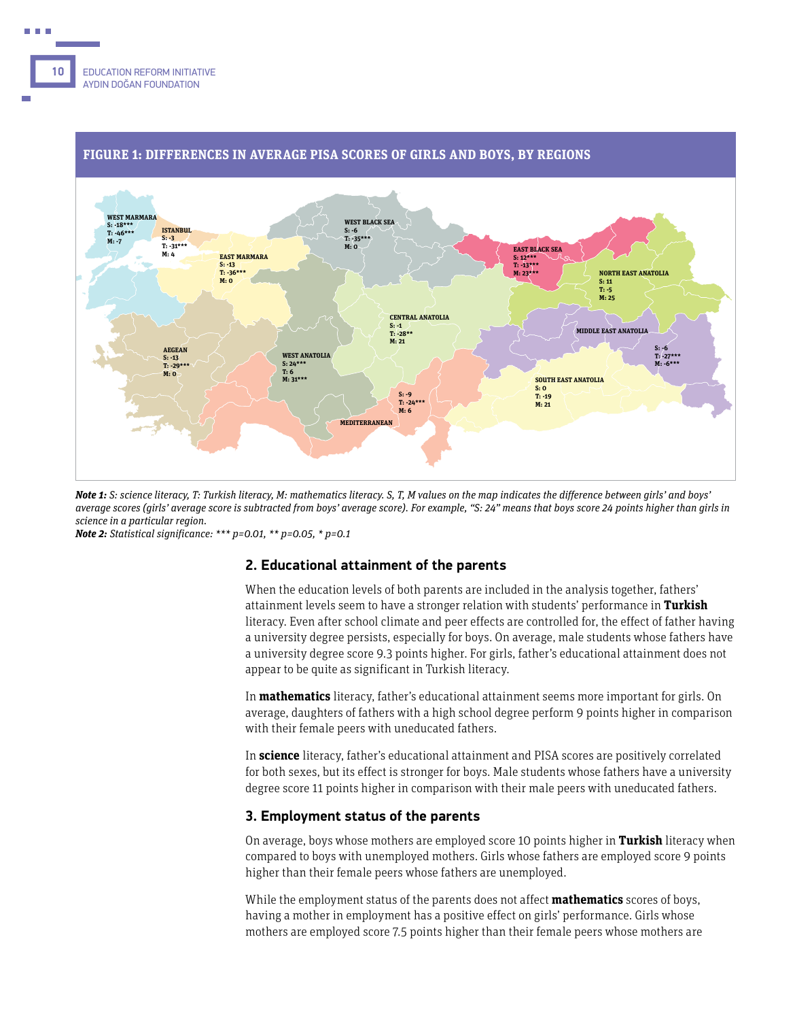

#### **FIGURE 1: DIFFERENCES IN AVERAGE PISA SCORES OF GIRLS AND BOYS, BY REGIONS**

**Note 1:** S: science literacy, T: Turkish literacy, M: mathematics literacy. S, T, M values on the map indicates the difference between girls' and boys' average scores (girls' average score is subtracted from boys' average score). For example, "S: 24" means that boys score 24 points higher than girls in science in a particular region.

**Note 2:** Statistical significance: \*\*\* p=0.01, \*\* p=0.05, \* p=0.1

#### **2. Educational attainment of the parents**

When the education levels of both parents are included in the analysis together, fathers' attainment levels seem to have a stronger relation with students' performance in **Turkish** literacy. Even after school climate and peer effects are controlled for, the effect of father having a university degree persists, especially for boys. On average, male students whose fathers have a university degree score 9.3 points higher. For girls, father's educational attainment does not appear to be quite as significant in Turkish literacy.

In **mathematics** literacy, father's educational attainment seems more important for girls. On average, daughters of fathers with a high school degree perform 9 points higher in comparison with their female peers with uneducated fathers.

In **science** literacy, father's educational attainment and PISA scores are positively correlated for both sexes, but its effect is stronger for boys. Male students whose fathers have a university degree score 11 points higher in comparison with their male peers with uneducated fathers.

#### **3. Employment status of the parents**

On average, boys whose mothers are employed score 10 points higher in **Turkish** literacy when compared to boys with unemployed mothers. Girls whose fathers are employed score 9 points higher than their female peers whose fathers are unemployed.

While the employment status of the parents does not affect **mathematics** scores of boys, having a mother in employment has a positive effect on girls' performance. Girls whose mothers are employed score 7.5 points higher than their female peers whose mothers are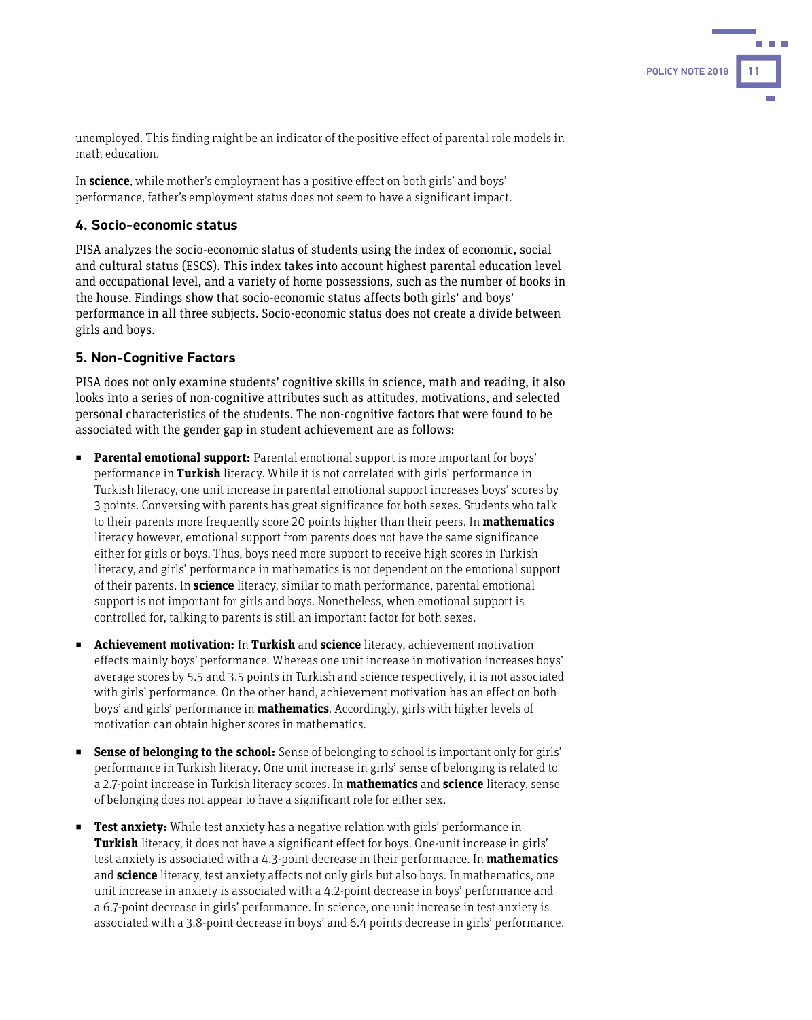unemployed. This finding might be an indicator of the positive effect of parental role models in math education.

In **science**, while mother's employment has a positive effect on both girls' and boys' performance, father's employment status does not seem to have a significant impact.

#### **4. Socio-economic status**

PISA analyzes the socio-economic status of students using the index of economic, social and cultural status (ESCS). This index takes into account highest parental education level and occupational level, and a variety of home possessions, such as the number of books in the house. Findings show that socio-economic status affects both girls' and boys' performance in all three subjects. Socio-economic status does not create a divide between girls and boys.

#### **5. Non-Cognitive Factors**

PISA does not only examine students' cognitive skills in science, math and reading, it also looks into a series of non-cognitive attributes such as attitudes, motivations, and selected personal characteristics of the students. The non-cognitive factors that were found to be associated with the gender gap in student achievement are as follows:

- **Parental emotional support:** Parental emotional support is more important for boys' performance in **Turkish** literacy. While it is not correlated with girls' performance in Turkish literacy, one unit increase in parental emotional support increases boys' scores by 3 points. Conversing with parents has great significance for both sexes. Students who talk to their parents more frequently score 20 points higher than their peers. In **mathematics** literacy however, emotional support from parents does not have the same significance either for girls or boys. Thus, boys need more support to receive high scores in Turkish literacy, and girls' performance in mathematics is not dependent on the emotional support of their parents. In **science** literacy, similar to math performance, parental emotional support is not important for girls and boys. Nonetheless, when emotional support is controlled for, talking to parents is still an important factor for both sexes.
- **Achievement motivation:** In **Turkish** and **science** literacy, achievement motivation effects mainly boys' performance. Whereas one unit increase in motivation increases boys' average scores by 5.5 and 3.5 points in Turkish and science respectively, it is not associated with girls' performance. On the other hand, achievement motivation has an effect on both boys' and girls' performance in **mathematics**. Accordingly, girls with higher levels of motivation can obtain higher scores in mathematics.
- **Sense of belonging to the school:** Sense of belonging to school is important only for girls' performance in Turkish literacy. One unit increase in girls' sense of belonging is related to a 2.7-point increase in Turkish literacy scores. In **mathematics** and **science** literacy, sense of belonging does not appear to have a significant role for either sex.
- **Test anxiety:** While test anxiety has a negative relation with girls' performance in **Turkish** literacy, it does not have a significant effect for boys. One-unit increase in girls' test anxiety is associated with a 4.3-point decrease in their performance. In **mathematics** and **science** literacy, test anxiety affects not only girls but also boys. In mathematics, one unit increase in anxiety is associated with a 4.2-point decrease in boys' performance and a 6.7-point decrease in girls' performance. In science, one unit increase in test anxiety is associated with a 3.8-point decrease in boys' and 6.4 points decrease in girls' performance.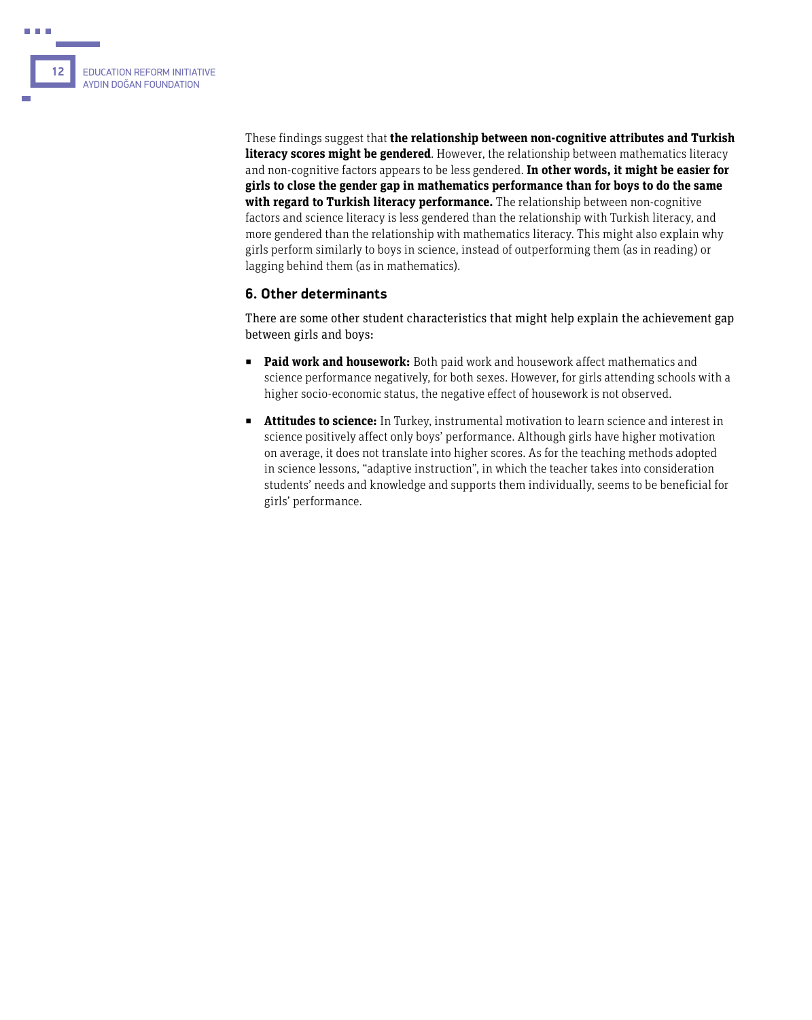

These findings suggest that **the relationship between non-cognitive attributes and Turkish literacy scores might be gendered**. However, the relationship between mathematics literacy and non-cognitive factors appears to be less gendered. **In other words, it might be easier for girls to close the gender gap in mathematics performance than for boys to do the same with regard to Turkish literacy performance.** The relationship between non-cognitive factors and science literacy is less gendered than the relationship with Turkish literacy, and more gendered than the relationship with mathematics literacy. This might also explain why girls perform similarly to boys in science, instead of outperforming them (as in reading) or lagging behind them (as in mathematics).

#### **6. Other determinants**

There are some other student characteristics that might help explain the achievement gap between girls and boys:

- Paid work and housework: Both paid work and housework affect mathematics and science performance negatively, for both sexes. However, for girls attending schools with a higher socio-economic status, the negative effect of housework is not observed.
- **EXTENTIFIED EXTENT: Attitudes to science:** In Turkey, instrumental motivation to learn science and interest in science positively affect only boys' performance. Although girls have higher motivation on average, it does not translate into higher scores. As for the teaching methods adopted in science lessons, "adaptive instruction", in which the teacher takes into consideration students' needs and knowledge and supports them individually, seems to be beneficial for girls' performance.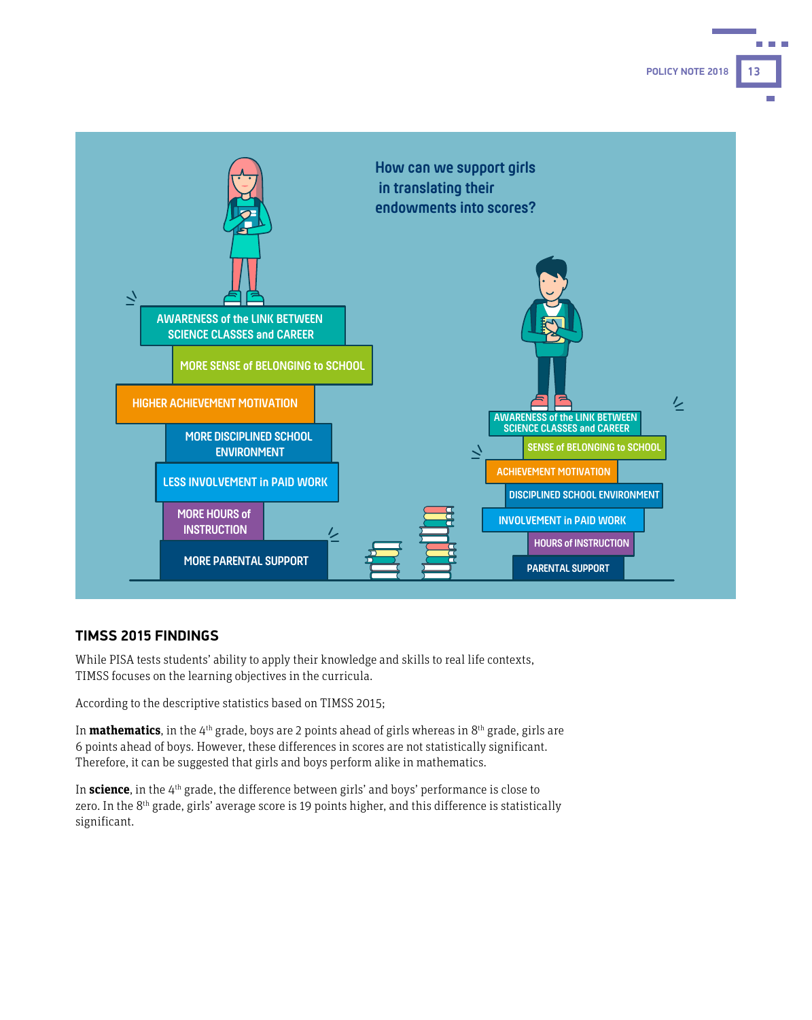**POLICY NOTE 2018 13**



#### **TIMSS 2015 FINDINGS**

While PISA tests students' ability to apply their knowledge and skills to real life contexts, TIMSS focuses on the learning objectives in the curricula.

According to the descriptive statistics based on TIMSS 2015;

In **mathematics**, in the 4<sup>th</sup> grade, boys are 2 points ahead of girls whereas in 8<sup>th</sup> grade, girls are 6 points ahead of boys. However, these differences in scores are not statistically significant. Therefore, it can be suggested that girls and boys perform alike in mathematics.

In **science**, in the 4th grade, the difference between girls' and boys' performance is close to zero. In the 8<sup>th</sup> grade, girls' average score is 19 points higher, and this difference is statistically significant.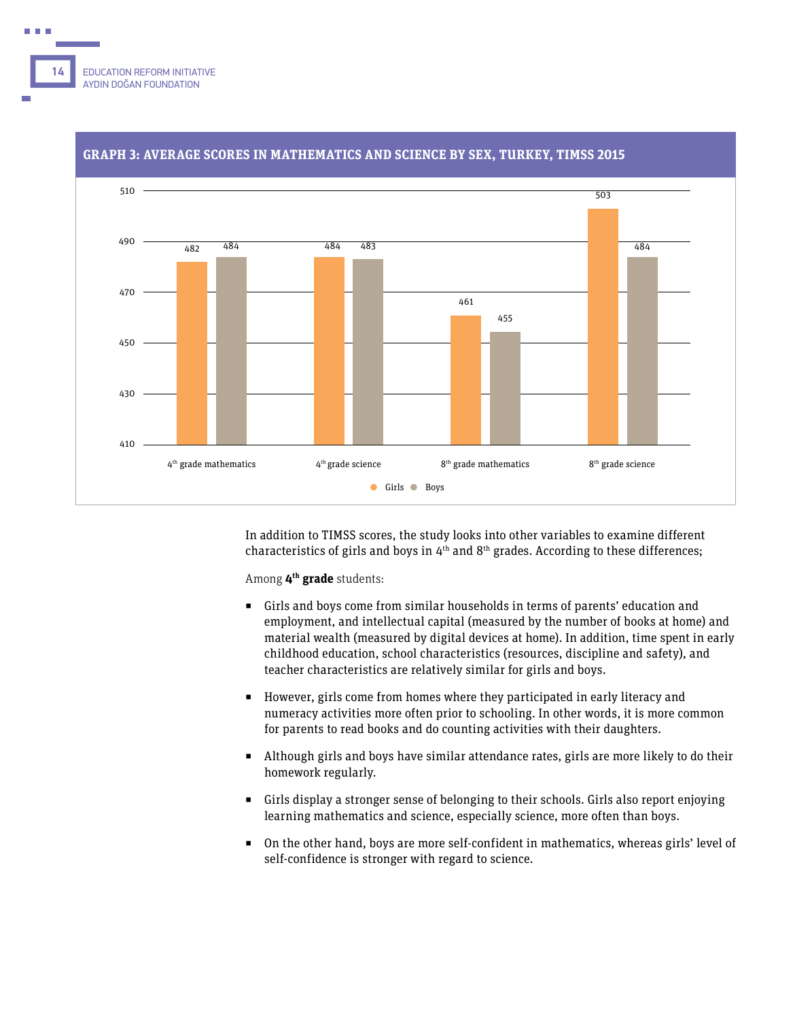



#### **GRAPH 3: AVERAGE SCORES IN MATHEMATICS AND SCIENCE BY SEX, TURKEY, TIMSS 2015**

In addition to TIMSS scores, the study looks into other variables to examine different characteristics of girls and boys in  $4<sup>th</sup>$  and  $8<sup>th</sup>$  grades. According to these differences;

Among **4th grade** students:

- Girls and boys come from similar households in terms of parents' education and employment, and intellectual capital (measured by the number of books at home) and material wealth (measured by digital devices at home). In addition, time spent in early childhood education, school characteristics (resources, discipline and safety), and teacher characteristics are relatively similar for girls and boys.
- However, girls come from homes where they participated in early literacy and numeracy activities more often prior to schooling. In other words, it is more common for parents to read books and do counting activities with their daughters.
- Although girls and boys have similar attendance rates, girls are more likely to do their homework regularly.
- Girls display a stronger sense of belonging to their schools. Girls also report enjoying learning mathematics and science, especially science, more often than boys.
- On the other hand, boys are more self-confident in mathematics, whereas girls' level of self-confidence is stronger with regard to science.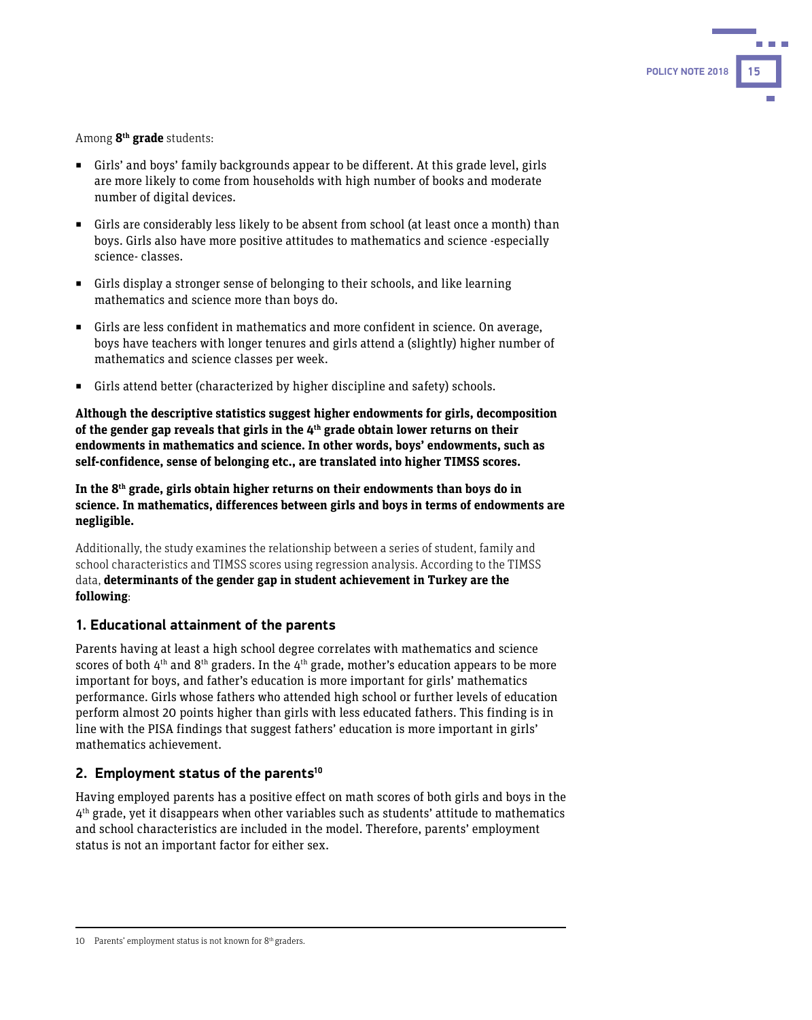

Among **8th grade** students:

- Girls' and boys' family backgrounds appear to be different. At this grade level, girls are more likely to come from households with high number of books and moderate number of digital devices.
- Girls are considerably less likely to be absent from school (at least once a month) than boys. Girls also have more positive attitudes to mathematics and science -especially science- classes.
- Girls display a stronger sense of belonging to their schools, and like learning mathematics and science more than boys do.
- Girls are less confident in mathematics and more confident in science. On average, boys have teachers with longer tenures and girls attend a (slightly) higher number of mathematics and science classes per week.
- Girls attend better (characterized by higher discipline and safety) schools.

**Although the descriptive statistics suggest higher endowments for girls, decomposition of the gender gap reveals that girls in the 4th grade obtain lower returns on their endowments in mathematics and science. In other words, boys' endowments, such as self-confidence, sense of belonging etc., are translated into higher TIMSS scores.** 

**In the 8th grade, girls obtain higher returns on their endowments than boys do in science. In mathematics, differences between girls and boys in terms of endowments are negligible.** 

Additionally, the study examines the relationship between a series of student, family and school characteristics and TIMSS scores using regression analysis. According to the TIMSS data, **determinants of the gender gap in student achievement in Turkey are the following**:

#### **1. Educational attainment of the parents**

Parents having at least a high school degree correlates with mathematics and science scores of both  $4<sup>th</sup>$  and  $8<sup>th</sup>$  graders. In the  $4<sup>th</sup>$  grade, mother's education appears to be more important for boys, and father's education is more important for girls' mathematics performance. Girls whose fathers who attended high school or further levels of education perform almost 20 points higher than girls with less educated fathers. This finding is in line with the PISA findings that suggest fathers' education is more important in girls' mathematics achievement.

#### **2. Employment status of the parents10**

Having employed parents has a positive effect on math scores of both girls and boys in the  $4<sup>th</sup>$  grade, yet it disappears when other variables such as students' attitude to mathematics and school characteristics are included in the model. Therefore, parents' employment status is not an important factor for either sex.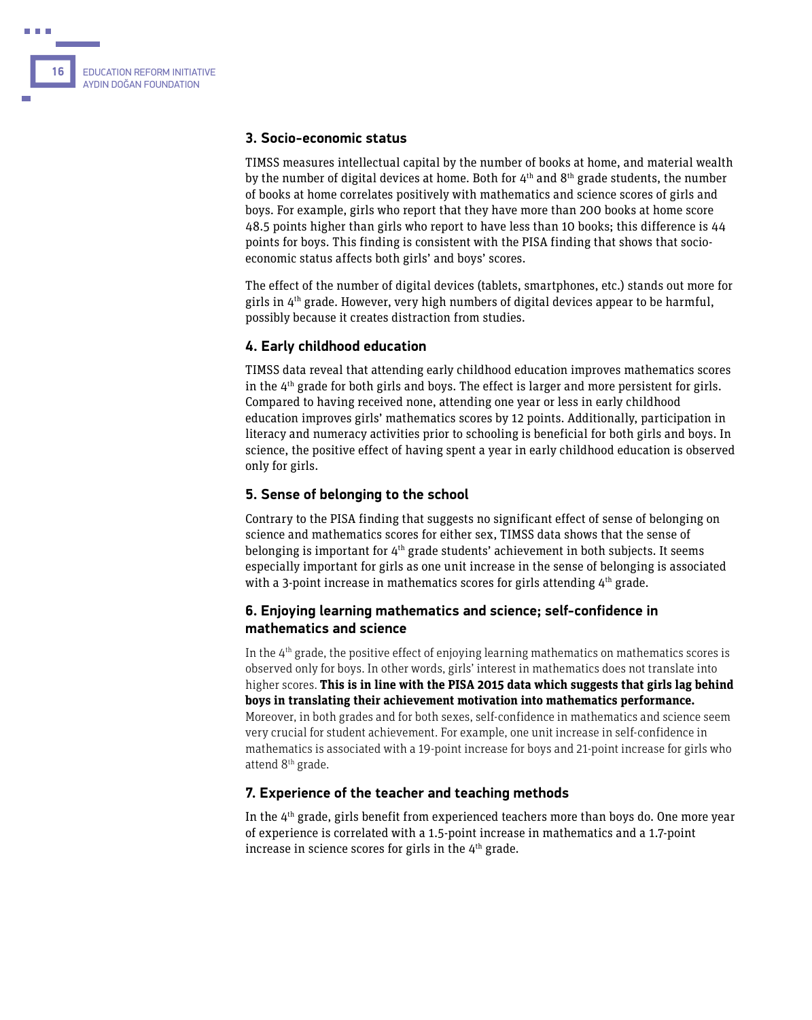

#### **3. Socio-economic status**

TIMSS measures intellectual capital by the number of books at home, and material wealth by the number of digital devices at home. Both for  $4<sup>th</sup>$  and  $8<sup>th</sup>$  grade students, the number of books at home correlates positively with mathematics and science scores of girls and boys. For example, girls who report that they have more than 200 books at home score 48.5 points higher than girls who report to have less than 10 books; this difference is 44 points for boys. This finding is consistent with the PISA finding that shows that socioeconomic status affects both girls' and boys' scores.

The effect of the number of digital devices (tablets, smartphones, etc.) stands out more for girls in  $4<sup>th</sup>$  grade. However, very high numbers of digital devices appear to be harmful, possibly because it creates distraction from studies.

#### **4. Early childhood education**

TIMSS data reveal that attending early childhood education improves mathematics scores in the 4<sup>th</sup> grade for both girls and boys. The effect is larger and more persistent for girls. Compared to having received none, attending one year or less in early childhood education improves girls' mathematics scores by 12 points. Additionally, participation in literacy and numeracy activities prior to schooling is beneficial for both girls and boys. In science, the positive effect of having spent a year in early childhood education is observed only for girls.

#### **5. Sense of belonging to the school**

Contrary to the PISA finding that suggests no significant effect of sense of belonging on science and mathematics scores for either sex, TIMSS data shows that the sense of belonging is important for  $4<sup>th</sup>$  grade students' achievement in both subjects. It seems especially important for girls as one unit increase in the sense of belonging is associated with a 3-point increase in mathematics scores for girls attending  $4<sup>th</sup>$  grade.

#### **6. Enjoying learning mathematics and science; self-confidence in mathematics and science**

In the  $4<sup>th</sup>$  grade, the positive effect of enjoying learning mathematics on mathematics scores is observed only for boys. In other words, girls' interest in mathematics does not translate into higher scores. **This is in line with the PISA 2015 data which suggests that girls lag behind boys in translating their achievement motivation into mathematics performance.** Moreover, in both grades and for both sexes, self-confidence in mathematics and science seem very crucial for student achievement. For example, one unit increase in self-confidence in mathematics is associated with a 19-point increase for boys and 21-point increase for girls who attend 8<sup>th</sup> grade.

#### **7. Experience of the teacher and teaching methods**

In the  $4<sup>th</sup>$  grade, girls benefit from experienced teachers more than boys do. One more year of experience is correlated with a 1.5-point increase in mathematics and a 1.7-point increase in science scores for girls in the  $4<sup>th</sup>$  grade.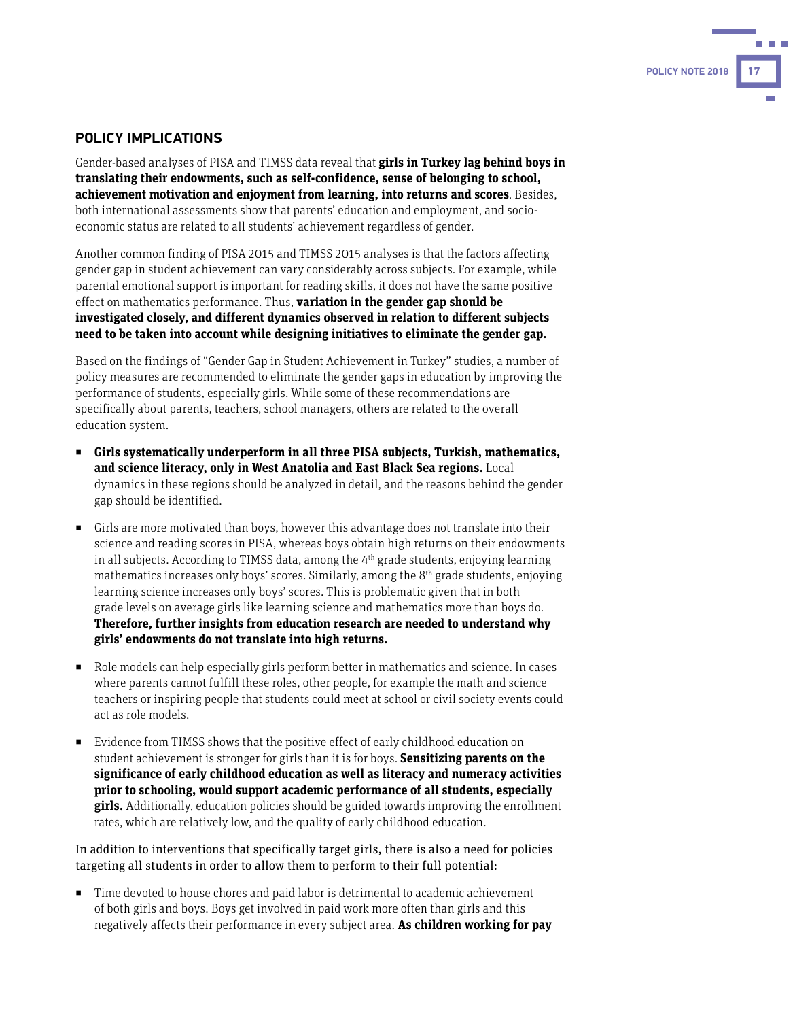# **POLICY NOTE 2018**

#### **POLICY IMPLICATIONS**

Gender-based analyses of PISA and TIMSS data reveal that **girls in Turkey lag behind boys in translating their endowments, such as self-confidence, sense of belonging to school, achievement motivation and enjoyment from learning, into returns and scores**. Besides, both international assessments show that parents' education and employment, and socioeconomic status are related to all students' achievement regardless of gender.

Another common finding of PISA 2015 and TIMSS 2015 analyses is that the factors affecting gender gap in student achievement can vary considerably across subjects. For example, while parental emotional support is important for reading skills, it does not have the same positive effect on mathematics performance. Thus, **variation in the gender gap should be investigated closely, and different dynamics observed in relation to different subjects need to be taken into account while designing initiatives to eliminate the gender gap.**

Based on the findings of "Gender Gap in Student Achievement in Turkey" studies, a number of policy measures are recommended to eliminate the gender gaps in education by improving the performance of students, especially girls. While some of these recommendations are specifically about parents, teachers, school managers, others are related to the overall education system.

- ◼ **Girls systematically underperform in all three PISA subjects, Turkish, mathematics, and science literacy, only in West Anatolia and East Black Sea regions.** Local dynamics in these regions should be analyzed in detail, and the reasons behind the gender gap should be identified.
- Girls are more motivated than boys, however this advantage does not translate into their science and reading scores in PISA, whereas boys obtain high returns on their endowments in all subjects. According to TIMSS data, among the  $4<sup>th</sup>$  grade students, enjoving learning mathematics increases only boys' scores. Similarly, among the  $8<sup>th</sup>$  grade students, enjoying learning science increases only boys' scores. This is problematic given that in both grade levels on average girls like learning science and mathematics more than boys do. **Therefore, further insights from education research are needed to understand why girls' endowments do not translate into high returns.**
- Role models can help especially girls perform better in mathematics and science. In cases where parents cannot fulfill these roles, other people, for example the math and science teachers or inspiring people that students could meet at school or civil society events could act as role models.
- Evidence from TIMSS shows that the positive effect of early childhood education on student achievement is stronger for girls than it is for boys. **Sensitizing parents on the significance of early childhood education as well as literacy and numeracy activities prior to schooling, would support academic performance of all students, especially girls.** Additionally, education policies should be guided towards improving the enrollment rates, which are relatively low, and the quality of early childhood education.

In addition to interventions that specifically target girls, there is also a need for policies targeting all students in order to allow them to perform to their full potential:

■ Time devoted to house chores and paid labor is detrimental to academic achievement of both girls and boys. Boys get involved in paid work more often than girls and this negatively affects their performance in every subject area. **As children working for pay**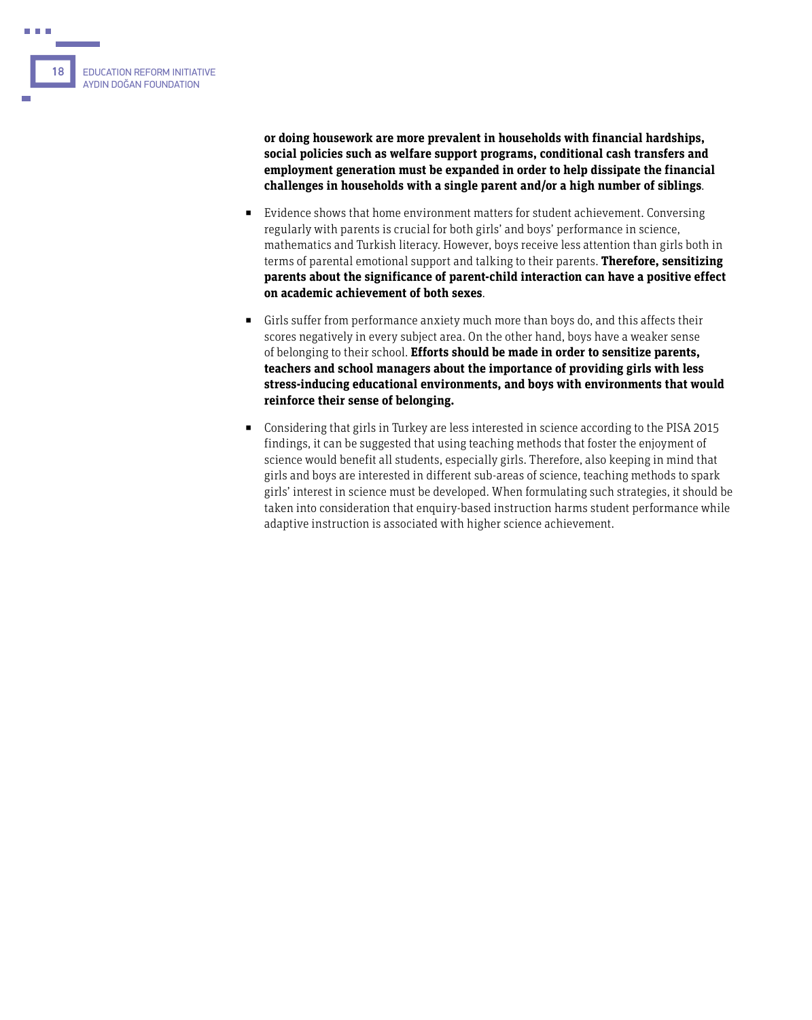

**or doing housework are more prevalent in households with financial hardships, social policies such as welfare support programs, conditional cash transfers and employment generation must be expanded in order to help dissipate the financial challenges in households with a single parent and/or a high number of siblings**.

- Evidence shows that home environment matters for student achievement. Conversing regularly with parents is crucial for both girls' and boys' performance in science, mathematics and Turkish literacy. However, boys receive less attention than girls both in terms of parental emotional support and talking to their parents. **Therefore, sensitizing parents about the significance of parent-child interaction can have a positive effect on academic achievement of both sexes**.
- Girls suffer from performance anxiety much more than boys do, and this affects their scores negatively in every subject area. On the other hand, boys have a weaker sense of belonging to their school. **Efforts should be made in order to sensitize parents, teachers and school managers about the importance of providing girls with less stress-inducing educational environments, and boys with environments that would reinforce their sense of belonging.**
- Considering that girls in Turkey are less interested in science according to the PISA 2015 findings, it can be suggested that using teaching methods that foster the enjoyment of science would benefit all students, especially girls. Therefore, also keeping in mind that girls and boys are interested in different sub-areas of science, teaching methods to spark girls' interest in science must be developed. When formulating such strategies, it should be taken into consideration that enquiry-based instruction harms student performance while adaptive instruction is associated with higher science achievement.